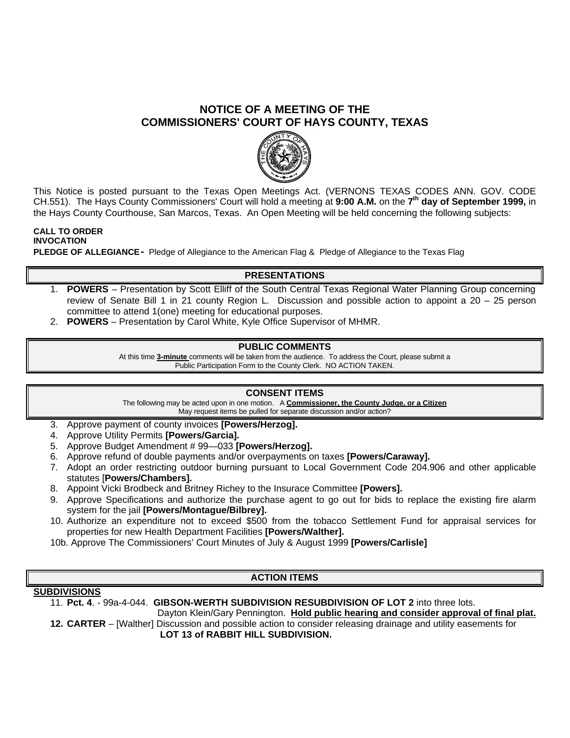# **NOTICE OF A MEETING OF THE COMMISSIONERS' COURT OF HAYS COUNTY, TEXAS**



This Notice is posted pursuant to the Texas Open Meetings Act. (VERNONS TEXAS CODES ANN. GOV. CODE CH.551). The Hays County Commissioners' Court will hold a meeting at **9:00 A.M.** on the **7 th day of September 1999,** in the Hays County Courthouse, San Marcos, Texas. An Open Meeting will be held concerning the following subjects:

# **CALL TO ORDER INVOCATION**

**PLEDGE OF ALLEGIANCE-** Pledge of Allegiance to the American Flag & Pledge of Allegiance to the Texas Flag

#### **PRESENTATIONS**

- 1. **POWERS** Presentation by Scott Elliff of the South Central Texas Regional Water Planning Group concerning review of Senate Bill 1 in 21 county Region L. Discussion and possible action to appoint a 20 – 25 person committee to attend 1(one) meeting for educational purposes.
- 2. **POWERS** Presentation by Carol White, Kyle Office Supervisor of MHMR.

### **PUBLIC COMMENTS**

At this time **3-minute** comments will be taken from the audience. To address the Court, please submit a Public Participation Form to the County Clerk. NO ACTION TAKEN.

#### **CONSENT ITEMS**

The following may be acted upon in one motion. A **Commissioner, the County Judge, or a Citizen** May request items be pulled for separate discussion and/or action?

- 3. Approve payment of county invoices **[Powers/Herzog].**
- 4. Approve Utility Permits **[Powers/Garcia].**
- 5. Approve Budget Amendment # 99—033 **[Powers/Herzog].**
- 6. Approve refund of double payments and/or overpayments on taxes **[Powers/Caraway].**
- 7. Adopt an order restricting outdoor burning pursuant to Local Government Code 204.906 and other applicable statutes [**Powers/Chambers].**
- 8. Appoint Vicki Brodbeck and Britney Richey to the Insurace Committee **[Powers].**
- 9. Approve Specifications and authorize the purchase agent to go out for bids to replace the existing fire alarm system for the jail **[Powers/Montague/Bilbrey].**
- 10. Authorize an expenditure not to exceed \$500 from the tobacco Settlement Fund for appraisal services for properties for new Health Department Facilities **[Powers/Walther].**
- 10b. Approve The Commissioners' Court Minutes of July & August 1999 **[Powers/Carlisle]**

## **ACTION ITEMS**

#### **SUBDIVISIONS**

11. **Pct. 4**. - 99a-4-044. **GIBSON-WERTH SUBDIVISION RESUBDIVISION OF LOT 2** into three lots.

Dayton Klein/Gary Pennington. **Hold public hearing and consider approval of final plat. 12. CARTER** – [Walther] Discussion and possible action to consider releasing drainage and utility easements for

 **LOT 13 of RABBIT HILL SUBDIVISION.**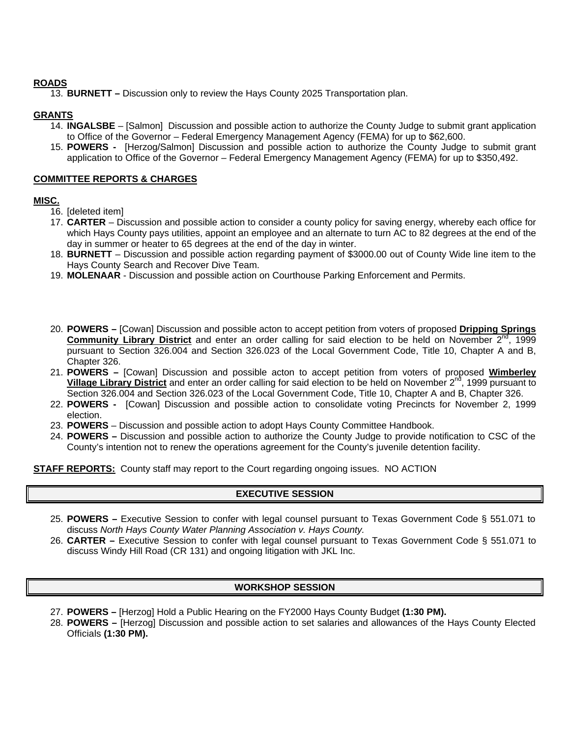#### **ROADS**

13. **BURNETT –** Discussion only to review the Hays County 2025 Transportation plan.

#### **GRANTS**

- 14. **INGALSBE** [Salmon] Discussion and possible action to authorize the County Judge to submit grant application to Office of the Governor – Federal Emergency Management Agency (FEMA) for up to \$62,600.
- 15. **POWERS -** [Herzog/Salmon] Discussion and possible action to authorize the County Judge to submit grant application to Office of the Governor – Federal Emergency Management Agency (FEMA) for up to \$350,492.

#### **COMMITTEE REPORTS & CHARGES**

### **MISC.**

- 16. [deleted item]
- 17. **CARTER** Discussion and possible action to consider a county policy for saving energy, whereby each office for which Hays County pays utilities, appoint an employee and an alternate to turn AC to 82 degrees at the end of the day in summer or heater to 65 degrees at the end of the day in winter.
- 18. **BURNETT** Discussion and possible action regarding payment of \$3000.00 out of County Wide line item to the Hays County Search and Recover Dive Team.
- 19. **MOLENAAR**  Discussion and possible action on Courthouse Parking Enforcement and Permits.
- 20. **POWERS –** [Cowan] Discussion and possible acton to accept petition from voters of proposed **Dripping Springs**  Community Library District and enter an order calling for said election to be held on November 2<sup>nd</sup>, 1999 pursuant to Section 326.004 and Section 326.023 of the Local Government Code, Title 10, Chapter A and B, Chapter 326.
- 21. **POWERS –** [Cowan] Discussion and possible acton to accept petition from voters of proposed **Wimberley Village Library District** and enter an order calling for said election to be held on November 2<sup>nd</sup>, 1999 pursuant to Section 326.004 and Section 326.023 of the Local Government Code, Title 10, Chapter A and B, Chapter 326.
- 22. **POWERS -** [Cowan] Discussion and possible action to consolidate voting Precincts for November 2, 1999 election.
- 23. **POWERS** Discussion and possible action to adopt Hays County Committee Handbook.
- 24. **POWERS –** Discussion and possible action to authorize the County Judge to provide notification to CSC of the County's intention not to renew the operations agreement for the County's juvenile detention facility.

**STAFF REPORTS:** County staff may report to the Court regarding ongoing issues. NO ACTION

## **EXECUTIVE SESSION**

- 25. **POWERS –** Executive Session to confer with legal counsel pursuant to Texas Government Code § 551.071 to discuss *North Hays County Water Planning Association v. Hays County.*
- 26. **CARTER –** Executive Session to confer with legal counsel pursuant to Texas Government Code § 551.071 to discuss Windy Hill Road (CR 131) and ongoing litigation with JKL Inc.

## **WORKSHOP SESSION**

- 27. **POWERS –** [Herzog] Hold a Public Hearing on the FY2000 Hays County Budget **(1:30 PM).**
- 28. **POWERS –** [Herzog] Discussion and possible action to set salaries and allowances of the Hays County Elected Officials **(1:30 PM).**